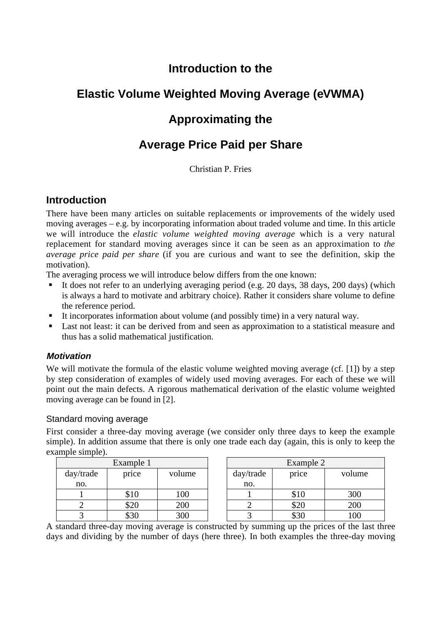# **Introduction to the**

# **Elastic Volume Weighted Moving Average (eVWMA)**

# **Approximating the**

# **Average Price Paid per Share**

Christian P. Fries

# **Introduction**

There have been many articles on suitable replacements or improvements of the widely used moving averages – e.g. by incorporating information about traded volume and time. In this article we will introduce the *elastic volume weighted moving average* which is a very natural replacement for standard moving averages since it can be seen as an approximation to *the average price paid per share* (if you are curious and want to see the definition, skip the motivation).

The averaging process we will introduce below differs from the one known:

- It does not refer to an underlying averaging period (e.g. 20 days, 38 days, 200 days) (which is always a hard to motivate and arbitrary choice). Rather it considers share volume to define the reference period.
- It incorporates information about volume (and possibly time) in a very natural way.
- **Last not least: it can be derived from and seen as approximation to a statistical measure and** thus has a solid mathematical justification.

## **Motivation**

We will motivate the formula of the elastic volume weighted moving average (cf. [1]) by a step by step consideration of examples of widely used moving averages. For each of these we will point out the main defects. A rigorous mathematical derivation of the elastic volume weighted moving average can be found in [2].

## Standard moving average

First consider a three-day moving average (we consider only three days to keep the example simple). In addition assume that there is only one trade each day (again, this is only to keep the example simple).

| Example 1 |           |        |  | Example 2 |       |        |  |
|-----------|-----------|--------|--|-----------|-------|--------|--|
| day/trade | price     | volume |  | day/trade | price | volume |  |
| no.       |           |        |  | no.       |       |        |  |
|           | \$10      | 100    |  |           | \$10  | 300    |  |
|           | \$20      | 200    |  |           | \$20  | 200    |  |
|           | ¢2በ<br>σo | 300    |  |           | \$30  | 100    |  |

A standard three-day moving average is constructed by summing up the prices of the last three days and dividing by the number of days (here three). In both examples the three-day moving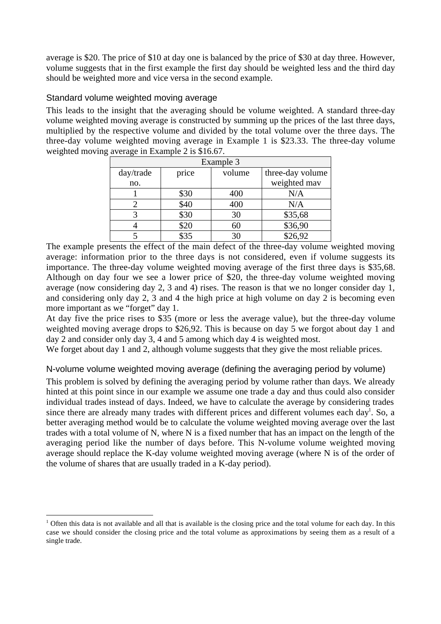average is \$20. The price of \$10 at day one is balanced by the price of \$30 at day three. However, volume suggests that in the first example the first day should be weighted less and the third day should be weighted more and vice versa in the second example.

#### Standard volume weighted moving average

This leads to the insight that the averaging should be volume weighted. A standard three-day volume weighted moving average is constructed by summing up the prices of the last three days, multiplied by the respective volume and divided by the total volume over the three days. The three-day volume weighted moving average in Example 1 is \$23.33. The three-day volume weighted moving average in Example 2 is \$16.67.

| Example 3 |       |        |                  |  |  |  |  |
|-----------|-------|--------|------------------|--|--|--|--|
| day/trade | price | volume | three-day volume |  |  |  |  |
| no.       |       |        | weighted may     |  |  |  |  |
|           | \$30  | 400    | N/A              |  |  |  |  |
|           | \$40  | 400    | N/A              |  |  |  |  |
| 3         | \$30  | 30     | \$35,68          |  |  |  |  |
|           | \$20  | 60     | \$36,90          |  |  |  |  |
|           | ደ35   | 30     | $\sqrt{$26,92}$  |  |  |  |  |

The example presents the effect of the main defect of the three-day volume weighted moving average: information prior to the three days is not considered, even if volume suggests its importance. The three-day volume weighted moving average of the first three days is \$35,68. Although on day four we see a lower price of \$20, the three-day volume weighted moving average (now considering day 2, 3 and 4) rises. The reason is that we no longer consider day 1, and considering only day 2, 3 and 4 the high price at high volume on day 2 is becoming even more important as we "forget" day 1.

At day five the price rises to \$35 (more or less the average value), but the three-day volume weighted moving average drops to \$26,92. This is because on day 5 we forgot about day 1 and day 2 and consider only day 3, 4 and 5 among which day 4 is weighted most.

We forget about day 1 and 2, although volume suggests that they give the most reliable prices.

#### N-volume volume weighted moving average (defining the averaging period by volume)

This problem is solved by defining the averaging period by volume rather than days. We already hinted at this point since in our example we assume one trade a day and thus could also consider individual trades instead of days. Indeed, we have to calculate the average by considering trades since there are already many trades with different prices and different volumes each day<sup>1</sup>. So, a better averaging method would be to calculate the volume weighted moving average over the last trades with a total volume of N, where N is a fixed number that has an impact on the length of the averaging period like the number of days before. This N-volume volume weighted moving average should replace the K-day volume weighted moving average (where N is of the order of the volume of shares that are usually traded in a K-day period).

 $\frac{1}{1}$ <sup>1</sup> Often this data is not available and all that is available is the closing price and the total volume for each day. In this case we should consider the closing price and the total volume as approximations by seeing them as a result of a single trade.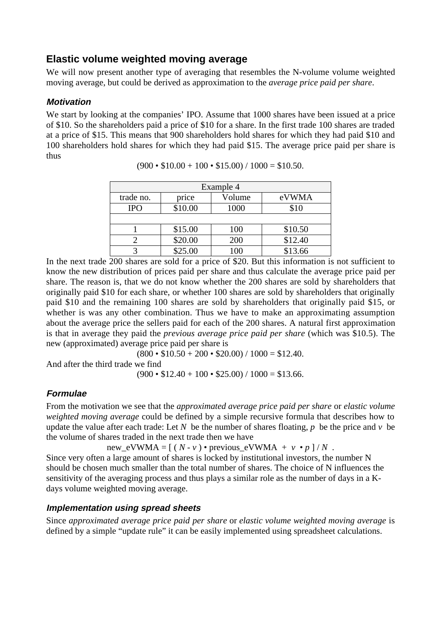## **Elastic volume weighted moving average**

We will now present another type of averaging that resembles the N-volume volume weighted moving average, but could be derived as approximation to the *average price paid per share*.

## **Motivation**

We start by looking at the companies' IPO. Assume that 1000 shares have been issued at a price of \$10. So the shareholders paid a price of \$10 for a share. In the first trade 100 shares are traded at a price of \$15. This means that 900 shareholders hold shares for which they had paid \$10 and 100 shareholders hold shares for which they had paid \$15. The average price paid per share is thus

| Example 4  |         |                 |         |  |  |  |  |
|------------|---------|-----------------|---------|--|--|--|--|
| trade no.  | price   | Volume          | eVWMA   |  |  |  |  |
| <b>IPO</b> | \$10.00 | 1000            | \$10    |  |  |  |  |
|            |         |                 |         |  |  |  |  |
|            | \$15.00 | 100             | \$10.50 |  |  |  |  |
|            | \$20.00 | 200             | \$12.40 |  |  |  |  |
|            | \$25.00 | 100             | \$13.66 |  |  |  |  |
| - - -      | - - -   | -----<br>$\sim$ |         |  |  |  |  |

 $(900 \cdot $10.00 + 100 \cdot $15.00) / 1000 = $10.50$ .

In the next trade 200 shares are sold for a price of \$20. But this information is not sufficient to know the new distribution of prices paid per share and thus calculate the average price paid per share. The reason is, that we do not know whether the 200 shares are sold by shareholders that originally paid \$10 for each share, or whether 100 shares are sold by shareholders that originally paid \$10 and the remaining 100 shares are sold by shareholders that originally paid \$15, or whether is was any other combination. Thus we have to make an approximating assumption about the average price the sellers paid for each of the 200 shares. A natural first approximation is that in average they paid the *previous average price paid per share* (which was \$10.5). The new (approximated) average price paid per share is

 $(800 \cdot $10.50 + 200 \cdot $20.00) / 1000 = $12.40.$ 

And after the third trade we find

 $(900 \cdot $12.40 + 100 \cdot $25.00) / 1000 = $13.66.$ 

## **Formulae**

From the motivation we see that the *approximated average price paid per share* or *elastic volume weighted moving average* could be defined by a simple recursive formula that describes how to update the value after each trade: Let *N* be the number of shares floating, *p* be the price and *v* be the volume of shares traded in the next trade then we have

new\_eVWMA =  $[(N - v) \cdot \text{previous\_eVWMA} + v \cdot p]/N$ .

Since very often a large amount of shares is locked by institutional investors, the number N should be chosen much smaller than the total number of shares. The choice of N influences the sensitivity of the averaging process and thus plays a similar role as the number of days in a Kdays volume weighted moving average.

## **Implementation using spread sheets**

Since *approximated average price paid per share* or *elastic volume weighted moving average* is defined by a simple "update rule" it can be easily implemented using spreadsheet calculations.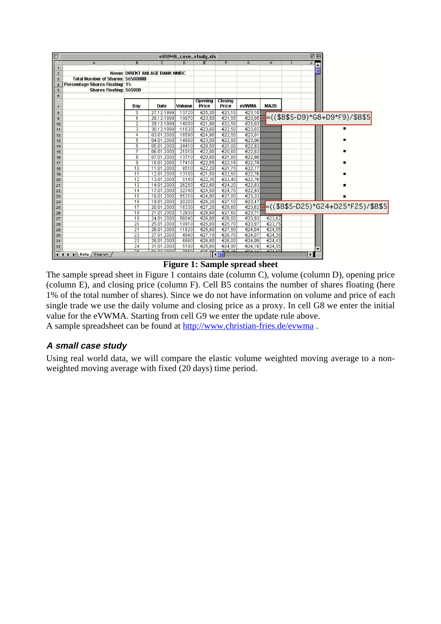| 凹目<br>图<br>eUWMA_case_study.xls       |                          |                               |                |                             |                          |        |             |                          |                                                      |
|---------------------------------------|--------------------------|-------------------------------|----------------|-----------------------------|--------------------------|--------|-------------|--------------------------|------------------------------------------------------|
| A                                     | в                        | c                             | $\overline{D}$ | F                           | F                        | Ğ      | н           | $\overline{\phantom{a}}$ |                                                      |
|                                       |                          |                               |                |                             |                          |        |             |                          |                                                      |
| $\mathbf{2}$                          |                          | Name: DIREKT ANLAGE BANK NMBC |                |                             |                          |        |             |                          |                                                      |
| Total Number of Shares: 56500000<br>3 |                          |                               |                |                             |                          |        |             |                          |                                                      |
| Percentage Shares Floating: 1%<br>4   |                          |                               |                |                             |                          |        |             |                          |                                                      |
| Shares Floating: 565000<br>5          |                          |                               |                |                             |                          |        |             |                          |                                                      |
| 6                                     |                          |                               |                | Opening                     | Closing                  |        |             |                          |                                                      |
|                                       | Dav                      | Date                          | Volume         | Price                       | Price                    | eVWMA  | <b>MA20</b> |                          |                                                      |
| 8                                     | 0                        | 27.12.1999                    | 13720          | €25,30                      | €23.10                   | €23,10 |             |                          |                                                      |
| 9                                     | 1                        | 28.12.1999                    | 19870          | €23.50                      | €21,55                   | €23.05 |             |                          | $=($ (\$B\$5-D9)*G8+D9*F9)/\$B\$5                    |
| 10                                    | $\overline{2}$           | 29.12.1999                    | 14000          | €21,90                      | €22,50                   | €23,03 |             |                          |                                                      |
| 11                                    | 3                        | 30.12.1999                    | 11630          | €23,60                      | €22,50                   | €23,02 |             |                          |                                                      |
| 12                                    | 4                        | 03.01.2000                    | 16590          | €24,90                      | €22.55                   | €23,01 |             |                          |                                                      |
| 13                                    | 5                        | 04.01.2000                    | 14860          | €23,00                      | €22.80                   | €23,00 |             |                          |                                                      |
| 14                                    | 6                        | 05.01.2000                    | 24410          | €20,50                      | €21.00                   | €22,92 |             |                          |                                                      |
| 15                                    | 7                        | 06.01.2000                    | 21010          | €22,00                      | €20.60                   | €22,83 |             |                          |                                                      |
| 16                                    | 8                        | 07.01.2000                    | 13710          | €20,60                      | €21,80                   | €22,80 |             |                          |                                                      |
| 17                                    | g                        | 10.01.2000                    | 17410          | €22,55                      | €22,16                   | €22,78 |             |                          |                                                      |
| 18                                    | 10                       | 11.01.2000                    | 8510           | €22,20                      | €21,75                   | €22,77 |             |                          |                                                      |
| 19                                    | 11                       | 12.01.2000                    | 13100          | €21,50                      | €22,50                   | €22,76 |             |                          |                                                      |
| 20                                    | 12                       | 13.01.2000                    | 5140           | €22,35                      | €22,40                   | €22,76 |             |                          |                                                      |
| 21                                    | $\overline{13}$          | 14.01.2000                    | 26250          | €22,60                      | €24.20                   | €22,83 |             |                          |                                                      |
| 22                                    | 14                       | 17.01.2000                    | 32740          | €24,50                      | €24,70                   | €22,93 |             |                          |                                                      |
| 23                                    | 15                       | 18.01.2000                    | 55310          | €24,90                      | €27,00                   | €23,33 |             |                          |                                                      |
| 24                                    | 16                       | 19.01.2000                    | 20200          | €26,20                      | €27,10                   | €23,47 |             |                          |                                                      |
| 25                                    | 17                       | 20.01.2000                    | 16330          | €27,20                      | €28,60                   |        |             |                          | $\frac{1}{223.62}$ ((\$B\$5-D25)*G24+D25*F25)/\$B\$5 |
| 26                                    | 18                       | 21.01.2000                    | 12930          | €28,60                      | €27,60                   | €23,71 |             |                          |                                                      |
| 27                                    | 19                       | 24.01.2000                    | 56040          | €26,80                      | €26,00                   | €23,93 | €23,62      |                          |                                                      |
| 28                                    | 20                       | 25.01.2000                    | 10910          | €25,00                      | €25,70                   | €23,97 | €23,75      |                          |                                                      |
| 29                                    | $\overline{21}$          | 26.01.2000                    | 11820          | $\overline{\epsilon}$ 25,80 | €27.50                   | €24.04 | €24.05      |                          |                                                      |
| 30                                    | 22                       | 27.01.2000                    | 4940           | €27.10                      | €26,70                   | €24.07 | €24.26      |                          |                                                      |
| 31                                    | $\overline{23}$          | 28.01.2000                    | 6960           | €26,80                      | €26,00                   | €24,09 | €24,43      |                          |                                                      |
| 32                                    | 24                       | 31.01.2000                    | 5190           | €25.60                      | €24,90                   | €24.10 | €24,55      |                          |                                                      |
| H 4 > M Data / Diagram                | $\overline{\mathcal{L}}$ | 04.03.3000                    | 7550           | 205,00                      | ana na<br>$\blacksquare$ | 22111  | $-21.00$    | $\blacktriangleright$    |                                                      |

**Figure 1: Sample spread sheet**

The sample spread sheet in Figure 1 contains date (column C), volume (column D), opening price (column E), and closing price (column F). Cell B5 contains the number of shares floating (here 1% of the total number of shares). Since we do not have information on volume and price of each single trade we use the daily volume and closing price as a proxy. In cell G8 we enter the initial value for the eVWMA. Starting from cell G9 we enter the update rule above. A sample spreadsheet can be found at http://www.christian-fries.de/evwma .

#### **A small case study**

Using real world data, we will compare the elastic volume weighted moving average to a nonweighted moving average with fixed (20 days) time period.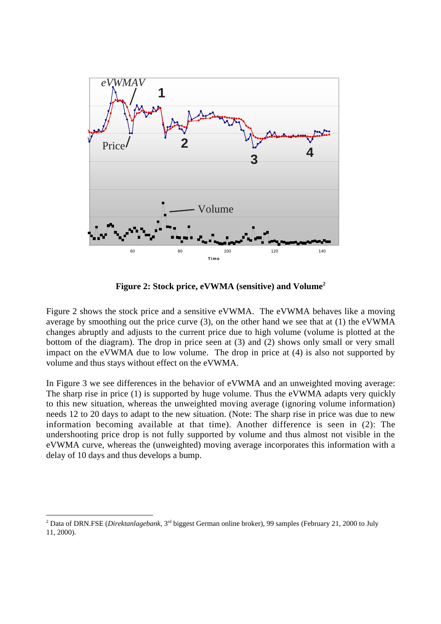

**Figure 2: Stock price, eVWMA (sensitive) and Volume2**

Figure 2 shows the stock price and a sensitive eVWMA. The eVWMA behaves like a moving average by smoothing out the price curve (3), on the other hand we see that at (1) the eVWMA changes abruptly and adjusts to the current price due to high volume (volume is plotted at the bottom of the diagram). The drop in price seen at (3) and (2) shows only small or very small impact on the eVWMA due to low volume. The drop in price at (4) is also not supported by volume and thus stays without effect on the eVWMA.

In Figure 3 we see differences in the behavior of eVWMA and an unweighted moving average: The sharp rise in price (1) is supported by huge volume. Thus the eVWMA adapts very quickly to this new situation, whereas the unweighted moving average (ignoring volume information) needs 12 to 20 days to adapt to the new situation. (Note: The sharp rise in price was due to new information becoming available at that time). Another difference is seen in (2): The undershooting price drop is not fully supported by volume and thus almost not visible in the eVWMA curve, whereas the (unweighted) moving average incorporates this information with a delay of 10 days and thus develops a bump.

 $\frac{1}{2}$ <sup>2</sup> Data of DRN.FSE (*Direktanlagebank*, 3<sup>rd</sup> biggest German online broker), 99 samples (February 21, 2000 to July 11, 2000).